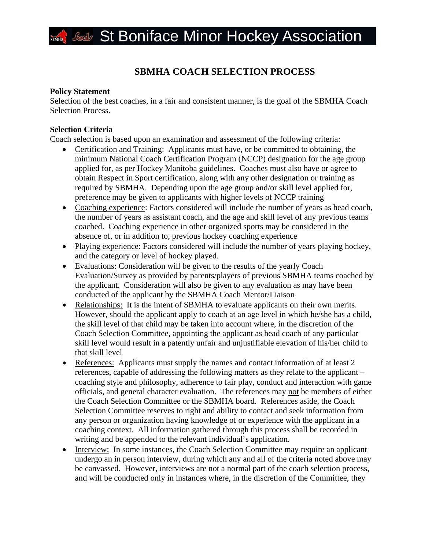## *<b>Secult* St Boniface Minor Hockey Association

### **SBMHA COACH SELECTION PROCESS**

### **Policy Statement**

Selection of the best coaches, in a fair and consistent manner, is the goal of the SBMHA Coach Selection Process.

### **Selection Criteria**

Coach selection is based upon an examination and assessment of the following criteria:

- Certification and Training: Applicants must have, or be committed to obtaining, the minimum National Coach Certification Program (NCCP) designation for the age group applied for, as per Hockey Manitoba guidelines. Coaches must also have or agree to obtain Respect in Sport certification, along with any other designation or training as required by SBMHA. Depending upon the age group and/or skill level applied for, preference may be given to applicants with higher levels of NCCP training
- Coaching experience: Factors considered will include the number of years as head coach, the number of years as assistant coach, and the age and skill level of any previous teams coached. Coaching experience in other organized sports may be considered in the absence of, or in addition to, previous hockey coaching experience
- Playing experience: Factors considered will include the number of years playing hockey, and the category or level of hockey played.
- Evaluations: Consideration will be given to the results of the yearly Coach Evaluation/Survey as provided by parents/players of previous SBMHA teams coached by the applicant. Consideration will also be given to any evaluation as may have been conducted of the applicant by the SBMHA Coach Mentor/Liaison
- Relationships: It is the intent of SBMHA to evaluate applicants on their own merits. However, should the applicant apply to coach at an age level in which he/she has a child, the skill level of that child may be taken into account where, in the discretion of the Coach Selection Committee, appointing the applicant as head coach of any particular skill level would result in a patently unfair and unjustifiable elevation of his/her child to that skill level
- References: Applicants must supply the names and contact information of at least 2 references, capable of addressing the following matters as they relate to the applicant – coaching style and philosophy, adherence to fair play, conduct and interaction with game officials, and general character evaluation. The references may not be members of either the Coach Selection Committee or the SBMHA board. References aside, the Coach Selection Committee reserves to right and ability to contact and seek information from any person or organization having knowledge of or experience with the applicant in a coaching context. All information gathered through this process shall be recorded in writing and be appended to the relevant individual's application.
- Interview: In some instances, the Coach Selection Committee may require an applicant undergo an in person interview, during which any and all of the criteria noted above may be canvassed. However, interviews are not a normal part of the coach selection process, and will be conducted only in instances where, in the discretion of the Committee, they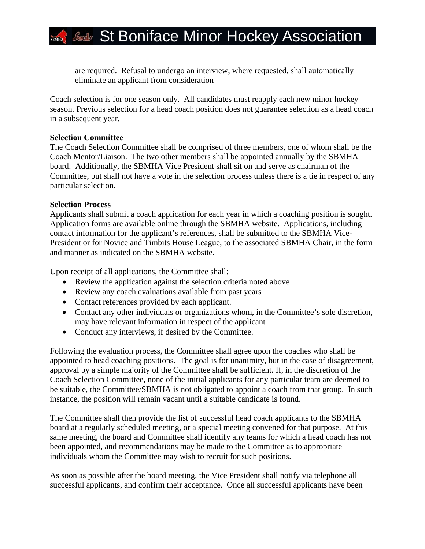# *<b>Secolar* St Boniface Minor Hockey Association

are required. Refusal to undergo an interview, where requested, shall automatically eliminate an applicant from consideration

Coach selection is for one season only. All candidates must reapply each new minor hockey season. Previous selection for a head coach position does not guarantee selection as a head coach in a subsequent year.

### **Selection Committee**

The Coach Selection Committee shall be comprised of three members, one of whom shall be the Coach Mentor/Liaison. The two other members shall be appointed annually by the SBMHA board. Additionally, the SBMHA Vice President shall sit on and serve as chairman of the Committee, but shall not have a vote in the selection process unless there is a tie in respect of any particular selection.

### **Selection Process**

Applicants shall submit a coach application for each year in which a coaching position is sought. Application forms are available online through the SBMHA website. Applications, including contact information for the applicant's references, shall be submitted to the SBMHA Vice-President or for Novice and Timbits House League, to the associated SBMHA Chair, in the form and manner as indicated on the SBMHA website.

Upon receipt of all applications, the Committee shall:

- Review the application against the selection criteria noted above
- Review any coach evaluations available from past years
- Contact references provided by each applicant.
- Contact any other individuals or organizations whom, in the Committee's sole discretion, may have relevant information in respect of the applicant
- Conduct any interviews, if desired by the Committee.

Following the evaluation process, the Committee shall agree upon the coaches who shall be appointed to head coaching positions. The goal is for unanimity, but in the case of disagreement, approval by a simple majority of the Committee shall be sufficient. If, in the discretion of the Coach Selection Committee, none of the initial applicants for any particular team are deemed to be suitable, the Committee/SBMHA is not obligated to appoint a coach from that group. In such instance, the position will remain vacant until a suitable candidate is found.

The Committee shall then provide the list of successful head coach applicants to the SBMHA board at a regularly scheduled meeting, or a special meeting convened for that purpose. At this same meeting, the board and Committee shall identify any teams for which a head coach has not been appointed, and recommendations may be made to the Committee as to appropriate individuals whom the Committee may wish to recruit for such positions.

As soon as possible after the board meeting, the Vice President shall notify via telephone all successful applicants, and confirm their acceptance. Once all successful applicants have been